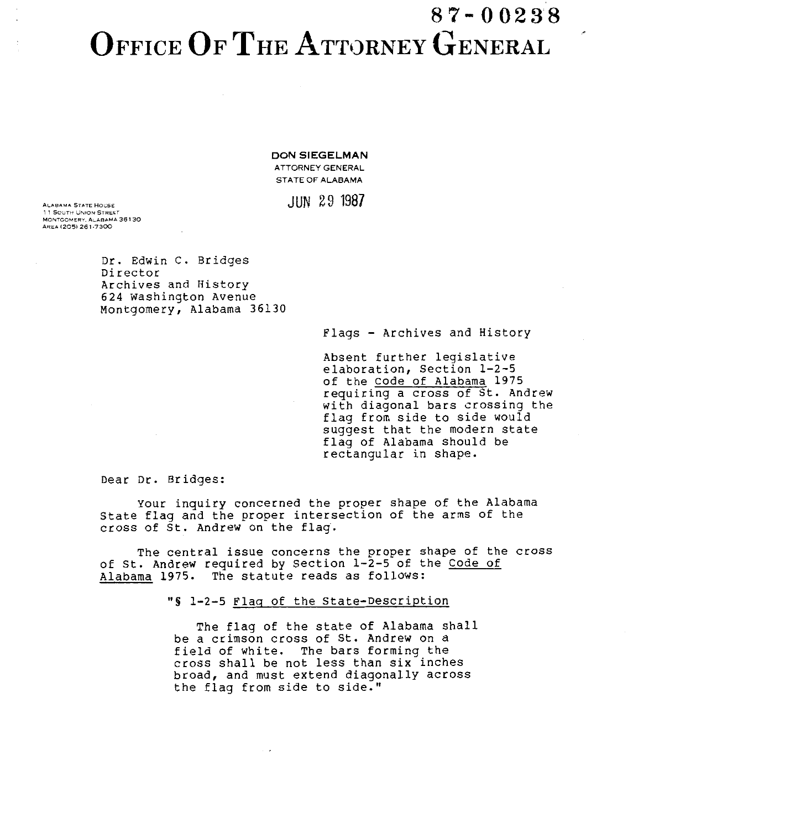## 8 7- 0 0238 OFFICE OF THE ATTORNEY GENERAL

**DON SIEGELMAN**  ATTORNEY GENERAL STATE OF ALABAMA

## ALABAMA STATE HOUSE  $\text{JUN}$   $29$   $1987$

1 1 SOUTH UNION STREET MONTGOMERY. ALABAMA 36130 AREA (205) 261-7300

> Dr. Edwin C. Bridges Director Archives and History 624 Washington Avenue Montgomery, Alabama 36130

> > Flags - Archives and History

Absent further legislative elaboration, Section 1-2-5 of the Code of Alabama 1975 requiring a cross of St. Andrew with diagonal bars crossing the flag from side to side would suggest that the modern state flag of Alabama should be rectangular in shape.

Dear Dr. Bridges:

Your inquiry concerned the proper shape of the Alabama State flag and the proper intersection of the arms of the cross of St. Andrew on the flag.

The central issue concerns the proper shape of the cross of St. Andrew required by Section 1-2-5 of the Code of Alabama 1975. The statute reads as follows:

"S 1-2-5 Flag of the State-Description

The flag of the state of Alabama shall be a crimson cross of St. Andrew on a field of white. The bars forming the cross shall be not less than six inches broad, and must extend diagonally across the flag from side to side."